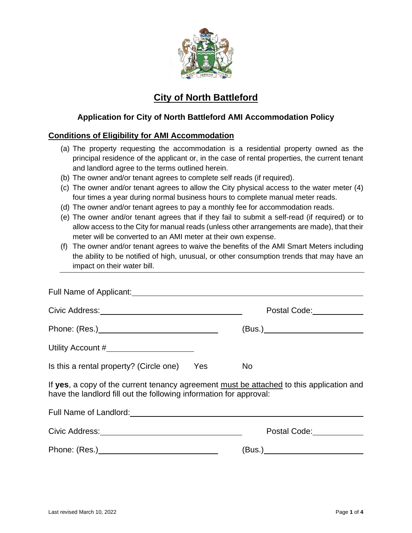

# **City of North Battleford**

# **Application for City of North Battleford AMI Accommodation Policy**

### **Conditions of Eligibility for AMI Accommodation**

- (a) The property requesting the accommodation is a residential property owned as the principal residence of the applicant or, in the case of rental properties, the current tenant and landlord agree to the terms outlined herein.
- (b) The owner and/or tenant agrees to complete self reads (if required).
- (c) The owner and/or tenant agrees to allow the City physical access to the water meter (4) four times a year during normal business hours to complete manual meter reads.
- (d) The owner and/or tenant agrees to pay a monthly fee for accommodation reads.
- (e) The owner and/or tenant agrees that if they fail to submit a self-read (if required) or to allow access to the City for manual reads (unless other arrangements are made), that their meter will be converted to an AMI meter at their own expense.
- (f) The owner and/or tenant agrees to waive the benefits of the AMI Smart Meters including the ability to be notified of high, unusual, or other consumption trends that may have an impact on their water bill.

|                                                                                                                                                                |  | Postal Code: _____________ |  |
|----------------------------------------------------------------------------------------------------------------------------------------------------------------|--|----------------------------|--|
|                                                                                                                                                                |  |                            |  |
| Utility Account #________________________                                                                                                                      |  |                            |  |
| Is this a rental property? (Circle one) Yes                                                                                                                    |  | <b>No</b>                  |  |
| If yes, a copy of the current tenancy agreement must be attached to this application and<br>have the landlord fill out the following information for approval: |  |                            |  |
| Full Name of Landlord: University of Landlord:                                                                                                                 |  |                            |  |
|                                                                                                                                                                |  |                            |  |
|                                                                                                                                                                |  | (Bus.)                     |  |
|                                                                                                                                                                |  |                            |  |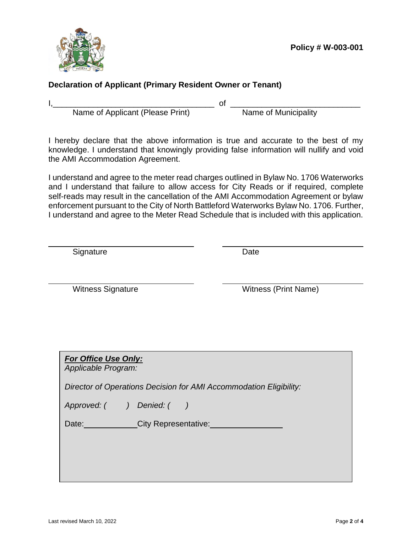

# **Declaration of Applicant (Primary Resident Owner or Tenant)**

l

I, I. Contains The Community Correction Community Correction Community Community Name of Municipality Name of Applicant (Please Print)

I hereby declare that the above information is true and accurate to the best of my knowledge. I understand that knowingly providing false information will nullify and void the AMI Accommodation Agreement.

I understand and agree to the meter read charges outlined in Bylaw No. 1706 Waterworks and I understand that failure to allow access for City Reads or if required, complete self-reads may result in the cancellation of the AMI Accommodation Agreement or bylaw enforcement pursuant to the City of North Battleford Waterworks Bylaw No. 1706. Further, I understand and agree to the Meter Read Schedule that is included with this application.

Signature Date

Witness Signature Witness (Print Name)

|                    | <b>For Office Use Only:</b> |  |  |  |
|--------------------|-----------------------------|--|--|--|
| Annlicable Drogram |                             |  |  |  |

*Applicable Program:*

*Director of Operations Decision for AMI Accommodation Eligibility:*

| Approved: ( | ) Denied: ( |
|-------------|-------------|
|-------------|-------------|

| Date: | <b>City Representative:</b> |
|-------|-----------------------------|
|       |                             |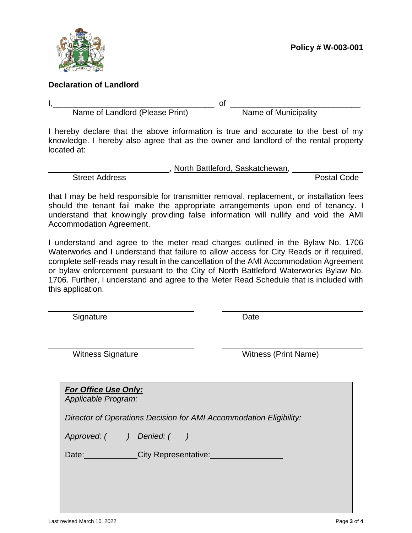

### **Declaration of Landlord**

l

I,\_\_\_\_\_\_\_\_\_\_\_\_\_\_\_\_\_\_\_\_\_\_\_\_\_\_\_\_\_\_\_\_\_\_\_\_ of \_\_\_\_\_\_\_\_\_\_\_\_\_\_\_\_\_\_\_\_\_\_\_\_\_\_\_\_\_ Name of Landlord (Please Print)

I hereby declare that the above information is true and accurate to the best of my knowledge. I hereby also agree that as the owner and landlord of the rental property located at:

Street Address **Postal Code** 

, North Battleford, Saskatchewan,

that I may be held responsible for transmitter removal, replacement, or installation fees should the tenant fail make the appropriate arrangements upon end of tenancy. I understand that knowingly providing false information will nullify and void the AMI Accommodation Agreement.

I understand and agree to the meter read charges outlined in the Bylaw No. 1706 Waterworks and I understand that failure to allow access for City Reads or if required, complete self-reads may result in the cancellation of the AMI Accommodation Agreement or bylaw enforcement pursuant to the City of North Battleford Waterworks Bylaw No. 1706. Further, I understand and agree to the Meter Read Schedule that is included with this application.

Signature Date

Witness Signature Witness (Print Name)

| <b>For Office Use Only:</b><br>Applicable Program:                 |
|--------------------------------------------------------------------|
| Director of Operations Decision for AMI Accommodation Eligibility: |
| Approved: () Denied: ()                                            |
| <b>City Representative:</b><br>Date: Date:                         |
|                                                                    |
|                                                                    |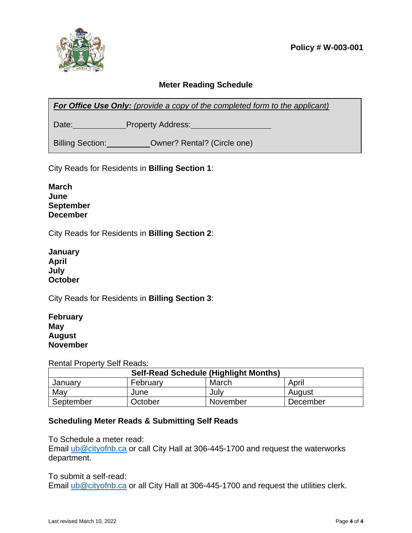

# **Meter Reading Schedule**

**For Office Use Only:** (provide a copy of the completed form to the applicant)

Date: Property Address:

Billing Section: **Owner? Rental?** (Circle one)

City Reads for Residents in **Billing Section 1**:

| <b>March</b>    |
|-----------------|
| June            |
| September       |
| <b>December</b> |

City Reads for Residents in **Billing Section 2**:

| January |
|---------|
| April   |
| July    |
| October |

City Reads for Residents in **Billing Section 3**:

| <b>February</b> |
|-----------------|
| May             |
| August          |
| <b>November</b> |

Rental Property Self Reads:

| <b>Self-Read Schedule (Highlight Months)</b> |          |          |          |
|----------------------------------------------|----------|----------|----------|
| Januarv                                      | February | March    | April    |
| May                                          | June     | July     | August   |
| September                                    | October  | November | December |

### **Scheduling Meter Reads & Submitting Self Reads**

To Schedule a meter read:

Email [ub@cityofnb.ca](mailto:ub@cityofnb.ca) or call City Hall at 306-445-1700 and request the waterworks department.

### To submit a self-read:

Email [ub@cityofnb.ca](mailto:ub@cityofnb.ca) or all City Hall at 306-445-1700 and request the utilities clerk.